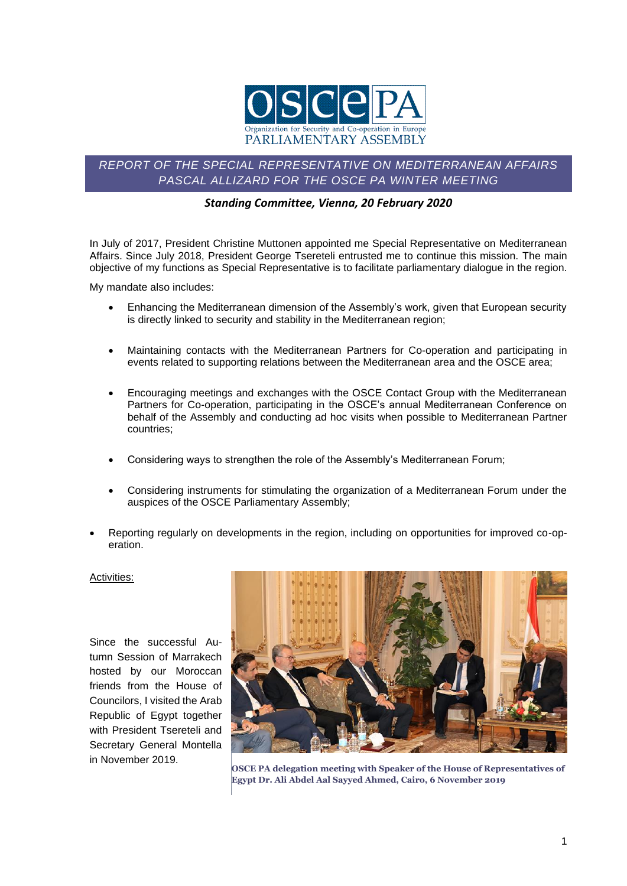

## *REPORT OF THE SPECIAL REPRESENTATIVE ON MEDITERRANEAN AFFAIRS PASCAL ALLIZARD FOR THE OSCE PA WINTER MEETING*

## *Standing Committee, Vienna, 20 February 2020*

In July of 2017, President Christine Muttonen appointed me Special Representative on Mediterranean Affairs. Since July 2018, President George Tsereteli entrusted me to continue this mission. The main objective of my functions as Special Representative is to facilitate parliamentary dialogue in the region.

My mandate also includes:

- Enhancing the Mediterranean dimension of the Assembly's work, given that European security is directly linked to security and stability in the Mediterranean region;
- Maintaining contacts with the Mediterranean Partners for Co-operation and participating in events related to supporting relations between the Mediterranean area and the OSCE area;
- Encouraging meetings and exchanges with the OSCE Contact Group with the Mediterranean Partners for Co-operation, participating in the OSCE's annual Mediterranean Conference on behalf of the Assembly and conducting ad hoc visits when possible to Mediterranean Partner countries;
- Considering ways to strengthen the role of the Assembly's Mediterranean Forum;
- Considering instruments for stimulating the organization of a Mediterranean Forum under the auspices of the OSCE Parliamentary Assembly;
- Reporting regularly on developments in the region, including on opportunities for improved co-operation.

## Activities:

Since the successful Autumn Session of Marrakech hosted by our Moroccan friends from the House of Councilors, I visited the Arab Republic of Egypt together with President Tsereteli and Secretary General Montella in November 2019.



**OSCE PA delegation meeting with Speaker of the House of Representatives of Egypt Dr. Ali Abdel Aal Sayyed Ahmed, Cairo, 6 November 2019**